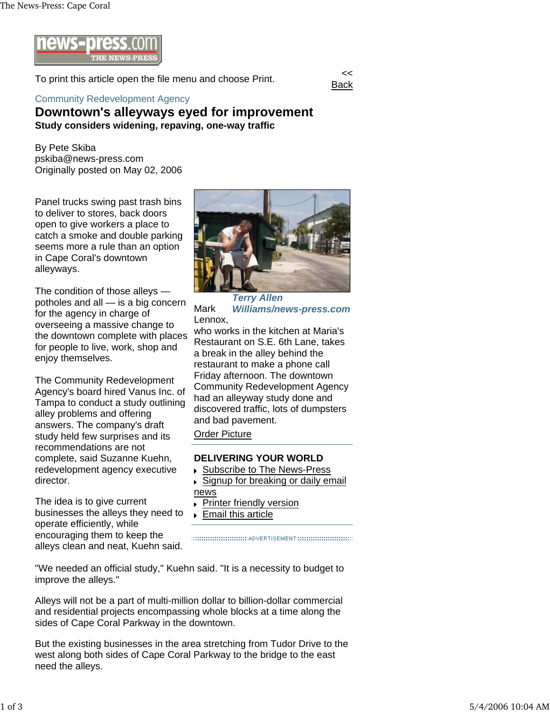

To print this article open the file menu and choose Print.



## Community Redevelopment Agency

## **Downtown's alleyways eyed for improvement Study considers widening, repaving, one-way traffic**

By Pete Skiba pskiba@news-press.com Originally posted on May 02, 2006

Panel trucks swing past trash bins to deliver to stores, back doors open to give workers a place to catch a smoke and double parking seems more a rule than an option in Cape Coral's downtown alleyways.

The condition of those alleys potholes and all — is a big concern for the agency in charge of overseeing a massive change to the downtown complete with places for people to live, work, shop and enjoy themselves.

The Community Redevelopment Agency's board hired Vanus Inc. of Tampa to conduct a study outlining alley problems and offering answers. The company's draft study held few surprises and its recommendations are not complete, said Suzanne Kuehn, redevelopment agency executive director.

The idea is to give current businesses the alleys they need to operate efficiently, while encouraging them to keep the alleys clean and neat, Kuehn said.



*Terry Allen*  Mark *Williams/news-press.com* Lennox,

who works in the kitchen at Maria's Restaurant on S.E. 6th Lane, takes a break in the alley behind the restaurant to make a phone call Friday afternoon. The downtown Community Redevelopment Agency had an alleyway study done and discovered traffic, lots of dumpsters and bad pavement.

Order Picture

## **DELIVERING YOUR WORLD**

- ▶ Subscribe to The News-Press
- ► Signup for breaking or daily email news
- Printer friendly version  $\ddot{\phantom{1}}$
- **Email this article**

"We needed an official study," Kuehn said. "It is a necessity to budget to improve the alleys."

Alleys will not be a part of multi-million dollar to billion-dollar commercial and residential projects encompassing whole blocks at a time along the sides of Cape Coral Parkway in the downtown.

But the existing businesses in the area stretching from Tudor Drive to the west along both sides of Cape Coral Parkway to the bridge to the east need the alleys.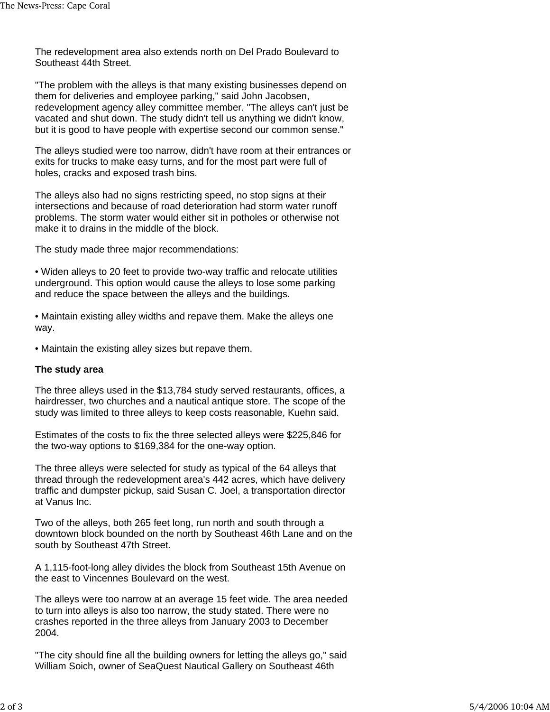The redevelopment area also extends north on Del Prado Boulevard to Southeast 44th Street.

"The problem with the alleys is that many existing businesses depend on them for deliveries and employee parking," said John Jacobsen, redevelopment agency alley committee member. "The alleys can't just be vacated and shut down. The study didn't tell us anything we didn't know, but it is good to have people with expertise second our common sense."

The alleys studied were too narrow, didn't have room at their entrances or exits for trucks to make easy turns, and for the most part were full of holes, cracks and exposed trash bins.

The alleys also had no signs restricting speed, no stop signs at their intersections and because of road deterioration had storm water runoff problems. The storm water would either sit in potholes or otherwise not make it to drains in the middle of the block.

The study made three major recommendations:

• Widen alleys to 20 feet to provide two-way traffic and relocate utilities underground. This option would cause the alleys to lose some parking and reduce the space between the alleys and the buildings.

• Maintain existing alley widths and repave them. Make the alleys one way.

• Maintain the existing alley sizes but repave them.

## **The study area**

The three alleys used in the \$13,784 study served restaurants, offices, a hairdresser, two churches and a nautical antique store. The scope of the study was limited to three alleys to keep costs reasonable, Kuehn said.

Estimates of the costs to fix the three selected alleys were \$225,846 for the two-way options to \$169,384 for the one-way option.

The three alleys were selected for study as typical of the 64 alleys that thread through the redevelopment area's 442 acres, which have delivery traffic and dumpster pickup, said Susan C. Joel, a transportation director at Vanus Inc.

Two of the alleys, both 265 feet long, run north and south through a downtown block bounded on the north by Southeast 46th Lane and on the south by Southeast 47th Street.

A 1,115-foot-long alley divides the block from Southeast 15th Avenue on the east to Vincennes Boulevard on the west.

The alleys were too narrow at an average 15 feet wide. The area needed to turn into alleys is also too narrow, the study stated. There were no crashes reported in the three alleys from January 2003 to December 2004.

"The city should fine all the building owners for letting the alleys go," said William Soich, owner of SeaQuest Nautical Gallery on Southeast 46th